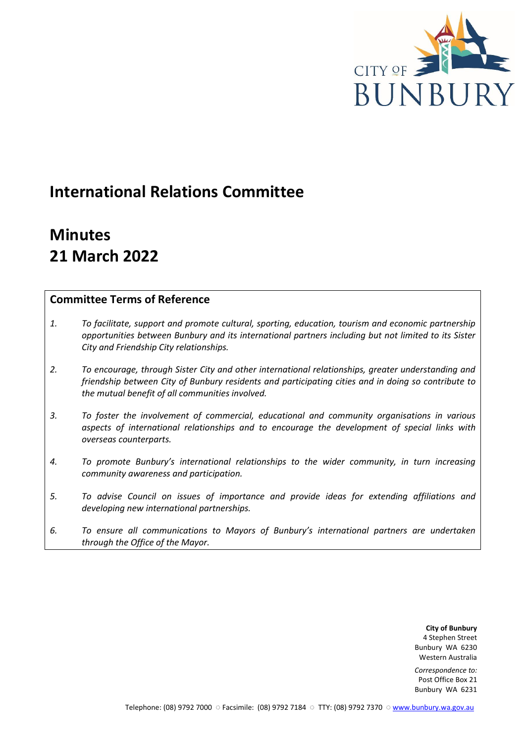

## **International Relations Committee**

# **Minutes 21 March 2022**

## **Committee Terms of Reference**

- *1. To facilitate, support and promote cultural, sporting, education, tourism and economic partnership opportunities between Bunbury and its international partners including but not limited to its Sister City and Friendship City relationships.*
- *2. To encourage, through Sister City and other international relationships, greater understanding and friendship between City of Bunbury residents and participating cities and in doing so contribute to the mutual benefit of all communities involved.*
- *3. To foster the involvement of commercial, educational and community organisations in various aspects of international relationships and to encourage the development of special links with overseas counterparts.*
- *4. To promote Bunbury's international relationships to the wider community, in turn increasing community awareness and participation.*
- *5. To advise Council on issues of importance and provide ideas for extending affiliations and developing new international partnerships.*
- *6. To ensure all communications to Mayors of Bunbury's international partners are undertaken through the Office of the Mayor.*

**City of Bunbury** 4 Stephen Street Bunbury WA 6230 Western Australia

*Correspondence to:* Post Office Box 21 Bunbury WA 6231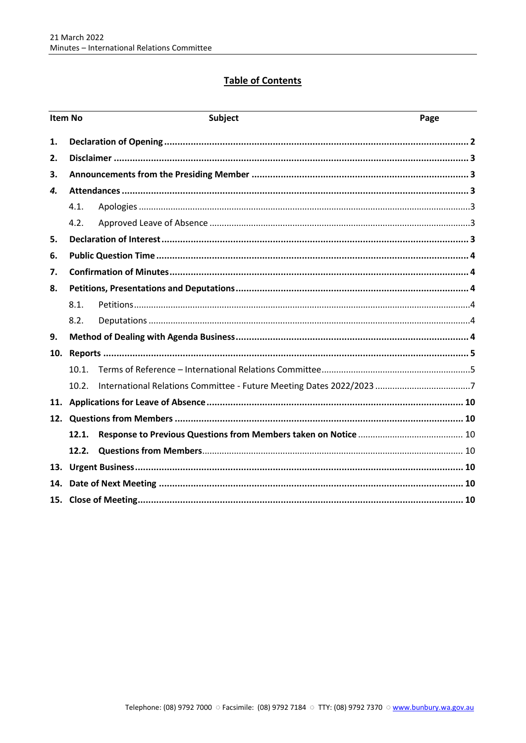## **Table of Contents**

| <b>Item No</b> |       | <b>Subject</b> | Page |  |
|----------------|-------|----------------|------|--|
| 1.             |       |                |      |  |
| 2.             |       |                |      |  |
| З.             |       |                |      |  |
| 4.             |       |                |      |  |
|                | 4.1.  |                |      |  |
|                | 4.2.  |                |      |  |
| 5.             |       |                |      |  |
| 6.             |       |                |      |  |
| 7.             |       |                |      |  |
| 8.             |       |                |      |  |
|                | 8.1.  |                |      |  |
|                | 8.2.  |                |      |  |
| 9.             |       |                |      |  |
| 10.            |       |                |      |  |
|                | 10.1. |                |      |  |
|                | 10.2. |                |      |  |
|                |       |                |      |  |
| 12.            |       |                |      |  |
|                | 12.1. |                |      |  |
|                | 12.2. |                |      |  |
|                |       |                |      |  |
| 14.            |       |                |      |  |
|                |       |                |      |  |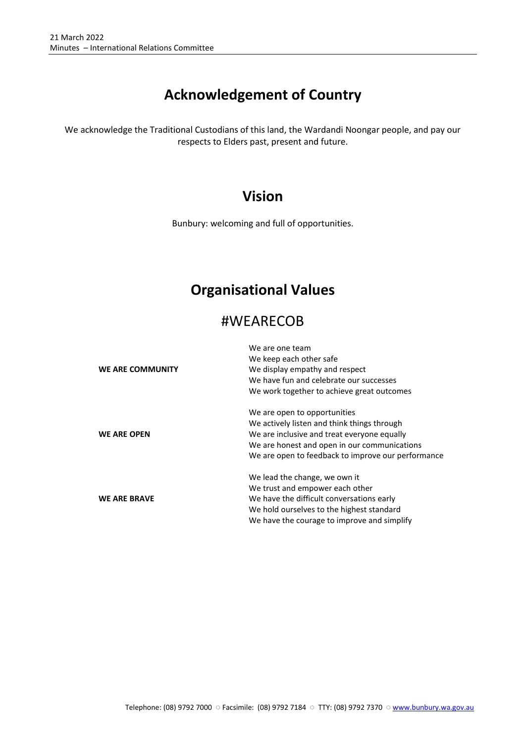## **Acknowledgement of Country**

We acknowledge the Traditional Custodians of this land, the Wardandi Noongar people, and pay our respects to Elders past, present and future.

## **Vision**

Bunbury: welcoming and full of opportunities.

## **Organisational Values**

## #WEARECOB

|                     | We are one team                                    |  |  |
|---------------------|----------------------------------------------------|--|--|
|                     | We keep each other safe                            |  |  |
| WE ARE COMMUNITY    | We display empathy and respect                     |  |  |
|                     | We have fun and celebrate our successes            |  |  |
|                     | We work together to achieve great outcomes         |  |  |
|                     | We are open to opportunities                       |  |  |
|                     | We actively listen and think things through        |  |  |
| <b>WE ARE OPEN</b>  | We are inclusive and treat everyone equally        |  |  |
|                     | We are honest and open in our communications       |  |  |
|                     | We are open to feedback to improve our performance |  |  |
|                     | We lead the change, we own it                      |  |  |
|                     | We trust and empower each other                    |  |  |
| <b>WE ARE BRAVE</b> | We have the difficult conversations early          |  |  |
|                     | We hold ourselves to the highest standard          |  |  |
|                     | We have the courage to improve and simplify        |  |  |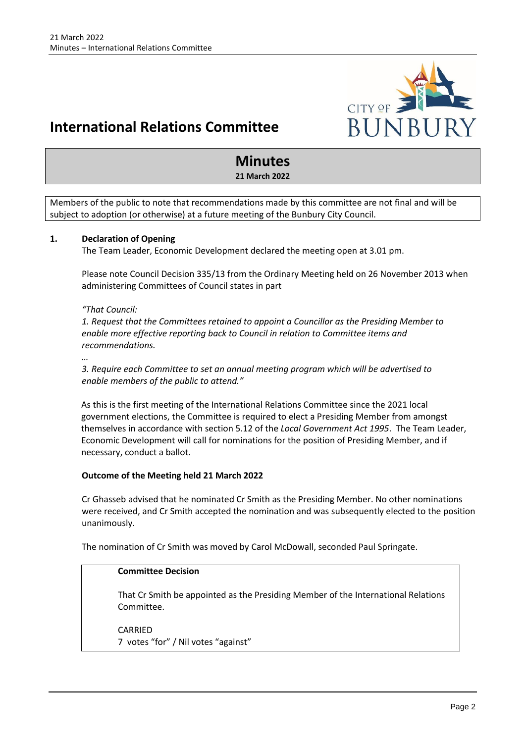

## **International Relations Committee**

## **Minutes**

**21 March 2022**

Members of the public to note that recommendations made by this committee are not final and will be subject to adoption (or otherwise) at a future meeting of the Bunbury City Council.

## <span id="page-3-0"></span>**1. Declaration of Opening**

The Team Leader, Economic Development declared the meeting open at 3.01 pm.

Please note Council Decision 335/13 from the Ordinary Meeting held on 26 November 2013 when administering Committees of Council states in part

## *"That Council:*

*1. Request that the Committees retained to appoint a Councillor as the Presiding Member to enable more effective reporting back to Council in relation to Committee items and recommendations.* 

*…*

*3. Require each Committee to set an annual meeting program which will be advertised to enable members of the public to attend."*

As this is the first meeting of the International Relations Committee since the 2021 local government elections, the Committee is required to elect a Presiding Member from amongst themselves in accordance with section 5.12 of the *Local Government Act 1995*. The Team Leader, Economic Development will call for nominations for the position of Presiding Member, and if necessary, conduct a ballot.

## **Outcome of the Meeting held 21 March 2022**

Cr Ghasseb advised that he nominated Cr Smith as the Presiding Member. No other nominations were received, and Cr Smith accepted the nomination and was subsequently elected to the position unanimously.

The nomination of Cr Smith was moved by Carol McDowall, seconded Paul Springate.

## **Committee Decision**

That Cr Smith be appointed as the Presiding Member of the International Relations Committee.

CARRIED 7 votes "for" / Nil votes "against"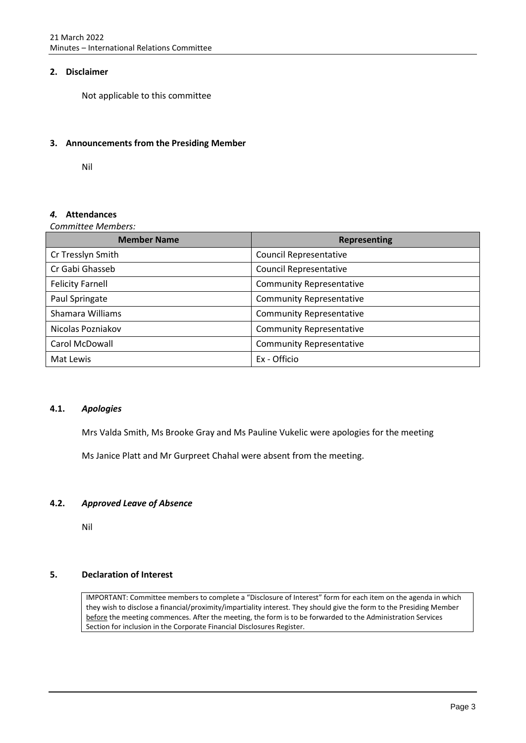## <span id="page-4-0"></span>**2. Disclaimer**

Not applicable to this committee

## <span id="page-4-1"></span>**3. Announcements from the Presiding Member**

Nil

## <span id="page-4-2"></span>*4.* **Attendances**

*Committee Members:*

| <b>Member Name</b>      | <b>Representing</b>             |
|-------------------------|---------------------------------|
| Cr Tresslyn Smith       | <b>Council Representative</b>   |
| Cr Gabi Ghasseb         | <b>Council Representative</b>   |
| <b>Felicity Farnell</b> | <b>Community Representative</b> |
| Paul Springate          | <b>Community Representative</b> |
| Shamara Williams        | <b>Community Representative</b> |
| Nicolas Pozniakov       | <b>Community Representative</b> |
| Carol McDowall          | <b>Community Representative</b> |
| Mat Lewis               | Ex - Officio                    |

## <span id="page-4-3"></span>**4.1.** *Apologies*

Mrs Valda Smith, Ms Brooke Gray and Ms Pauline Vukelic were apologies for the meeting

Ms Janice Platt and Mr Gurpreet Chahal were absent from the meeting.

## <span id="page-4-4"></span>**4.2.** *Approved Leave of Absence*

Nil

## <span id="page-4-5"></span>**5. Declaration of Interest**

IMPORTANT: Committee members to complete a "Disclosure of Interest" form for each item on the agenda in which they wish to disclose a financial/proximity/impartiality interest. They should give the form to the Presiding Member before the meeting commences. After the meeting, the form is to be forwarded to the Administration Services Section for inclusion in the Corporate Financial Disclosures Register.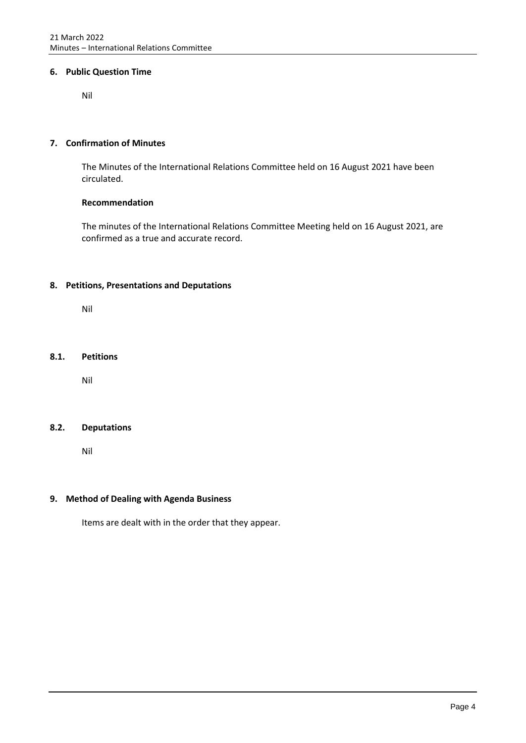## <span id="page-5-0"></span>**6. Public Question Time**

Nil

## <span id="page-5-1"></span>**7. Confirmation of Minutes**

The Minutes of the International Relations Committee held on 16 August 2021 have been circulated.

## **Recommendation**

The minutes of the International Relations Committee Meeting held on 16 August 2021, are confirmed as a true and accurate record.

## <span id="page-5-2"></span>**8. Petitions, Presentations and Deputations**

Nil

## <span id="page-5-3"></span>**8.1. Petitions**

Nil

## <span id="page-5-4"></span>**8.2. Deputations**

Nil

## <span id="page-5-5"></span>**9. Method of Dealing with Agenda Business**

Items are dealt with in the order that they appear.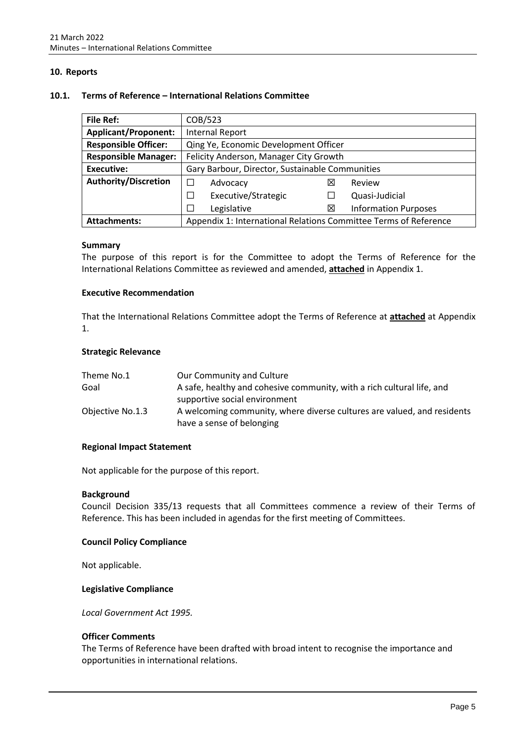## <span id="page-6-0"></span>**10. Reports**

#### <span id="page-6-1"></span>**10.1. Terms of Reference – International Relations Committee**

| <b>File Ref:</b>                                                                        | COB/523                                         |     |                             |  |
|-----------------------------------------------------------------------------------------|-------------------------------------------------|-----|-----------------------------|--|
| <b>Applicant/Proponent:</b>                                                             | <b>Internal Report</b>                          |     |                             |  |
| <b>Responsible Officer:</b>                                                             | Qing Ye, Economic Development Officer           |     |                             |  |
| <b>Responsible Manager:</b>                                                             | Felicity Anderson, Manager City Growth          |     |                             |  |
| <b>Executive:</b>                                                                       | Gary Barbour, Director, Sustainable Communities |     |                             |  |
| <b>Authority/Discretion</b>                                                             | Advocacy                                        | ΙXΙ | Review                      |  |
|                                                                                         | Executive/Strategic<br>П                        |     | Quasi-Judicial              |  |
|                                                                                         | Legislative<br>L                                | ⊠   | <b>Information Purposes</b> |  |
| Appendix 1: International Relations Committee Terms of Reference<br><b>Attachments:</b> |                                                 |     |                             |  |

#### **Summary**

The purpose of this report is for the Committee to adopt the Terms of Reference for the International Relations Committee as reviewed and amended, **attached** in Appendix 1.

#### **Executive Recommendation**

That the International Relations Committee adopt the Terms of Reference at **attached** at Appendix 1.

#### **Strategic Relevance**

| Theme No.1       | Our Community and Culture                                               |
|------------------|-------------------------------------------------------------------------|
| Goal             | A safe, healthy and cohesive community, with a rich cultural life, and  |
|                  | supportive social environment                                           |
| Objective No.1.3 | A welcoming community, where diverse cultures are valued, and residents |
|                  | have a sense of belonging                                               |

## **Regional Impact Statement**

Not applicable for the purpose of this report.

#### **Background**

Council Decision 335/13 requests that all Committees commence a review of their Terms of Reference. This has been included in agendas for the first meeting of Committees.

## **Council Policy Compliance**

Not applicable.

#### **Legislative Compliance**

*Local Government Act 1995.*

#### **Officer Comments**

The Terms of Reference have been drafted with broad intent to recognise the importance and opportunities in international relations.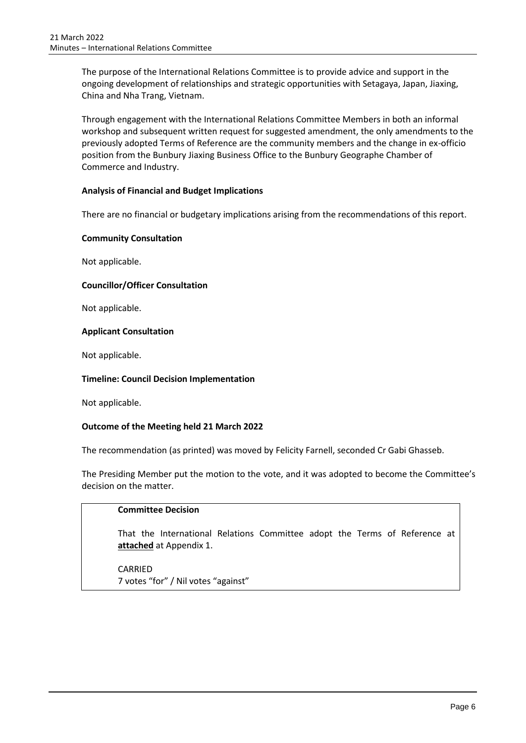The purpose of the International Relations Committee is to provide advice and support in the ongoing development of relationships and strategic opportunities with Setagaya, Japan, Jiaxing, China and Nha Trang, Vietnam.

Through engagement with the International Relations Committee Members in both an informal workshop and subsequent written request for suggested amendment, the only amendments to the previously adopted Terms of Reference are the community members and the change in ex-officio position from the Bunbury Jiaxing Business Office to the Bunbury Geographe Chamber of Commerce and Industry.

## **Analysis of Financial and Budget Implications**

There are no financial or budgetary implications arising from the recommendations of this report.

## **Community Consultation**

Not applicable.

## **Councillor/Officer Consultation**

Not applicable.

## **Applicant Consultation**

Not applicable.

## **Timeline: Council Decision Implementation**

Not applicable.

## **Outcome of the Meeting held 21 March 2022**

The recommendation (as printed) was moved by Felicity Farnell, seconded Cr Gabi Ghasseb.

The Presiding Member put the motion to the vote, and it was adopted to become the Committee's decision on the matter.

## **Committee Decision**

That the International Relations Committee adopt the Terms of Reference at **attached** at Appendix 1.

CARRIED 7 votes "for" / Nil votes "against"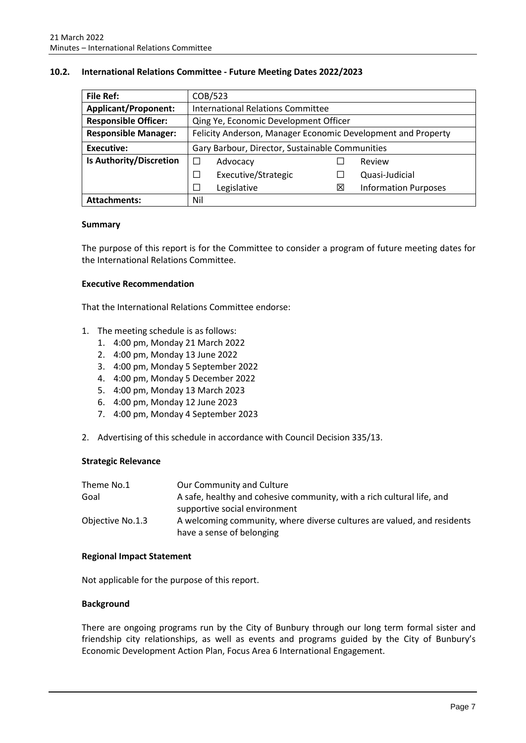<span id="page-8-0"></span>

| <b>File Ref:</b>            | COB/523                                                      |   |                             |  |
|-----------------------------|--------------------------------------------------------------|---|-----------------------------|--|
| <b>Applicant/Proponent:</b> | <b>International Relations Committee</b>                     |   |                             |  |
| <b>Responsible Officer:</b> | Qing Ye, Economic Development Officer                        |   |                             |  |
| <b>Responsible Manager:</b> | Felicity Anderson, Manager Economic Development and Property |   |                             |  |
| <b>Executive:</b>           | Gary Barbour, Director, Sustainable Communities              |   |                             |  |
| Is Authority/Discretion     | П<br>Advocacy                                                |   | Review                      |  |
|                             | Executive/Strategic<br>⊐                                     |   | Quasi-Judicial              |  |
|                             | Legislative<br>$\overline{\phantom{a}}$                      | X | <b>Information Purposes</b> |  |
| <b>Attachments:</b>         | Nil                                                          |   |                             |  |

#### **Summary**

The purpose of this report is for the Committee to consider a program of future meeting dates for the International Relations Committee.

#### **Executive Recommendation**

That the International Relations Committee endorse:

- 1. The meeting schedule is as follows:
	- 1. 4:00 pm, Monday 21 March 2022
	- 2. 4:00 pm, Monday 13 June 2022
	- 3. 4:00 pm, Monday 5 September 2022
	- 4. 4:00 pm, Monday 5 December 2022
	- 5. 4:00 pm, Monday 13 March 2023
	- 6. 4:00 pm, Monday 12 June 2023
	- 7. 4:00 pm, Monday 4 September 2023
- 2. Advertising of this schedule in accordance with Council Decision 335/13.

## **Strategic Relevance**

| Theme No.1       | Our Community and Culture                                                                            |
|------------------|------------------------------------------------------------------------------------------------------|
| Goal             | A safe, healthy and cohesive community, with a rich cultural life, and                               |
|                  | supportive social environment                                                                        |
| Objective No.1.3 | A welcoming community, where diverse cultures are valued, and residents<br>have a sense of belonging |

## **Regional Impact Statement**

Not applicable for the purpose of this report.

## **Background**

There are ongoing programs run by the City of Bunbury through our long term formal sister and friendship city relationships, as well as events and programs guided by the City of Bunbury's Economic Development Action Plan, Focus Area 6 International Engagement.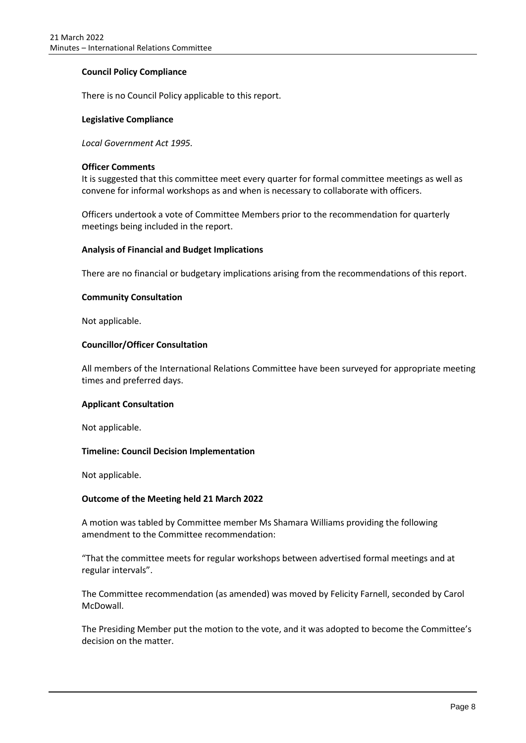## **Council Policy Compliance**

There is no Council Policy applicable to this report.

## **Legislative Compliance**

*Local Government Act 1995.*

## **Officer Comments**

It is suggested that this committee meet every quarter for formal committee meetings as well as convene for informal workshops as and when is necessary to collaborate with officers.

Officers undertook a vote of Committee Members prior to the recommendation for quarterly meetings being included in the report.

#### **Analysis of Financial and Budget Implications**

There are no financial or budgetary implications arising from the recommendations of this report.

#### **Community Consultation**

Not applicable.

## **Councillor/Officer Consultation**

All members of the International Relations Committee have been surveyed for appropriate meeting times and preferred days.

#### **Applicant Consultation**

Not applicable.

## **Timeline: Council Decision Implementation**

Not applicable.

## **Outcome of the Meeting held 21 March 2022**

A motion was tabled by Committee member Ms Shamara Williams providing the following amendment to the Committee recommendation:

"That the committee meets for regular workshops between advertised formal meetings and at regular intervals".

The Committee recommendation (as amended) was moved by Felicity Farnell, seconded by Carol McDowall.

The Presiding Member put the motion to the vote, and it was adopted to become the Committee's decision on the matter.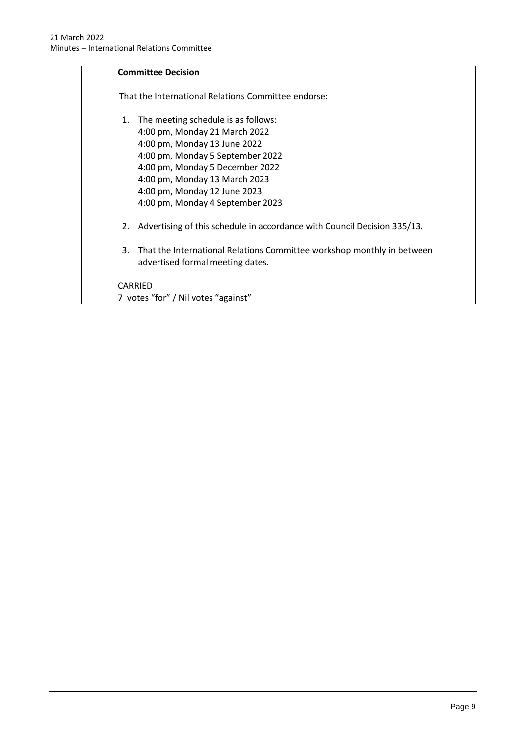## **Committee Decision**  That the International Relations Committee endorse: 1. The meeting schedule is as follows: 4:00 pm, Monday 21 March 2022 4:00 pm, Monday 13 June 2022 4:00 pm, Monday 5 September 2022 4:00 pm, Monday 5 December 2022 4:00 pm, Monday 13 March 2023 4:00 pm, Monday 12 June 2023 4:00 pm, Monday 4 September 2023 2. Advertising of this schedule in accordance with Council Decision 335/13. 3. That the International Relations Committee workshop monthly in between advertised formal meeting dates. CARRIED 7 votes "for" / Nil votes "against"